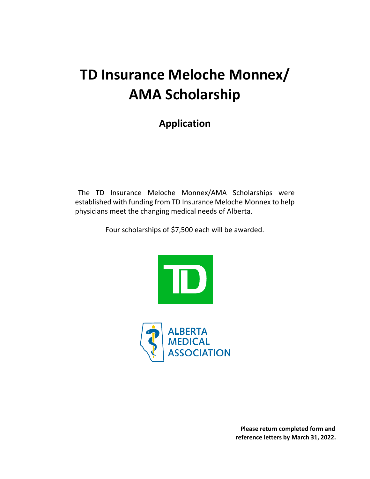# **TD Insurance Meloche Monnex/ AMA Scholarship**

### **Application**

The TD Insurance Meloche Monnex/AMA Scholarships were established with funding from TD Insurance Meloche Monnex to help physicians meet the changing medical needs of Alberta.

Four scholarships of \$7,500 each will be awarded.





**Please return completed form and reference letters by March 31, 2022.**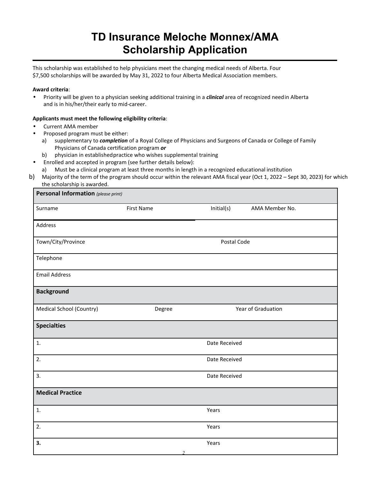## **TD Insurance Meloche Monnex/AMA Scholarship Application**

This scholarship was established to help physicians meet the changing medical needs of Alberta. Four \$7,500 scholarships will be awarded by May 31, 2022 to four Alberta Medical Association members.

#### **Award criteria**:

• Priority will be given to a physician seeking additional training in a *clinical* area of recognized needin Alberta and is in his/her/their early to mid-career.

#### **Applicants must meet the following eligibility criteria**:

- Current AMA member
- Proposed program must be either:
	- a) supplementary to *completion* of a Royal College of Physicians and Surgeons of Canada or College of Family Physicians of Canada certification program *or*
	- b) physician in establishedpractice who wishes supplemental training
- Enrolled and accepted in program (see further details below):
	- a) Must be a clinical program at least three months in length in a recognized educational institution
- b) Majority of the term of the program should occur within the relevant AMA fiscal year (Oct 1, 2022 Sept 30, 2023) for which the scholarship is awarded.

| Personal Information (please print) |                   |                    |                |
|-------------------------------------|-------------------|--------------------|----------------|
| Surname                             | <b>First Name</b> | Initial(s)         | AMA Member No. |
| Address                             |                   |                    |                |
| Town/City/Province                  |                   | Postal Code        |                |
| Telephone                           |                   |                    |                |
| <b>Email Address</b>                |                   |                    |                |
| <b>Background</b>                   |                   |                    |                |
| <b>Medical School (Country)</b>     | Degree            | Year of Graduation |                |
| <b>Specialties</b>                  |                   |                    |                |
| $\mathbf{1}$ .                      |                   | Date Received      |                |
| 2.                                  |                   | Date Received      |                |
| 3.                                  |                   | Date Received      |                |
| <b>Medical Practice</b>             |                   |                    |                |
| 1.                                  |                   | Years              |                |
| 2.                                  |                   | Years              |                |
| 3.                                  | $\overline{2}$    | Years              |                |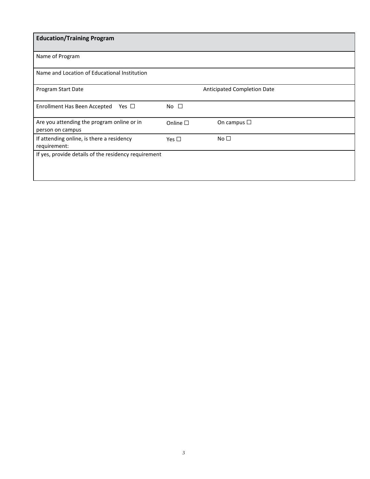| <b>Education/Training Program</b>                              |                  |                                    |
|----------------------------------------------------------------|------------------|------------------------------------|
| Name of Program                                                |                  |                                    |
| Name and Location of Educational Institution                   |                  |                                    |
| Program Start Date                                             |                  | <b>Anticipated Completion Date</b> |
| Enrollment Has Been Accepted<br>Yes $\Box$                     | No $\square$     |                                    |
| Are you attending the program online or in<br>person on campus | Online $\square$ | On campus $\Box$                   |
| If attending online, is there a residency<br>requirement:      | Yes $\Box$       | No $\square$                       |
| If yes, provide details of the residency requirement           |                  |                                    |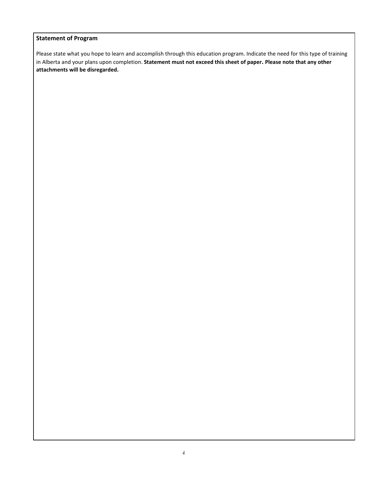#### **Statement of Program**

Please state what you hope to learn and accomplish through this education program. Indicate the need for this type of training in Alberta and your plans upon completion. **Statement must not exceed this sheet of paper. Please note that any other attachments will be disregarded.**